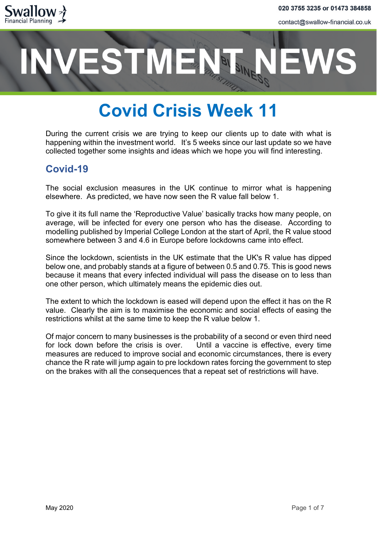

# **ESTMENT**

# **Covid Crisis Week 11**

During the current crisis we are trying to keep our clients up to date with what is happening within the investment world. It's 5 weeks since our last update so we have collected together some insights and ideas which we hope you will find interesting.

### **Covid-19**

The social exclusion measures in the UK continue to mirror what is happening elsewhere. As predicted, we have now seen the R value fall below 1.

To give it its full name the 'Reproductive Value' basically tracks how many people, on average, will be infected for every one person who has the disease. According to modelling published by Imperial College London at the start of April, the R value stood somewhere between 3 and 4.6 in Europe before lockdowns came into effect.

Since the lockdown, scientists in the UK estimate that the UK's R value has dipped below one, and probably stands at a figure of between 0.5 and 0.75. This is good news because it means that every infected individual will pass the disease on to less than one other person, which ultimately means the epidemic dies out.

The extent to which the lockdown is eased will depend upon the effect it has on the R value. Clearly the aim is to maximise the economic and social effects of easing the restrictions whilst at the same time to keep the R value below 1.

Of major concern to many businesses is the probability of a second or even third need for lock down before the crisis is over. Until a vaccine is effective, every time measures are reduced to improve social and economic circumstances, there is every chance the R rate will jump again to pre lockdown rates forcing the government to step on the brakes with all the consequences that a repeat set of restrictions will have.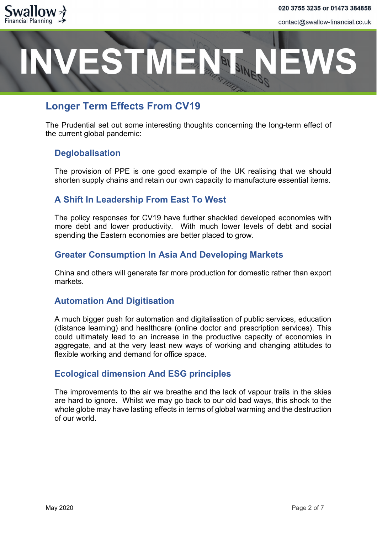



### **Longer Term Effects From CV19**

The Prudential set out some interesting thoughts concerning the long-term effect of the current global pandemic:

### **Deglobalisation**

The provision of PPE is one good example of the UK realising that we should shorten supply chains and retain our own capacity to manufacture essential items.

### **A Shift In Leadership From East To West**

The policy responses for CV19 have further shackled developed economies with more debt and lower productivity. With much lower levels of debt and social spending the Eastern economies are better placed to grow.

#### **Greater Consumption In Asia And Developing Markets**

China and others will generate far more production for domestic rather than export markets.

#### **Automation And Digitisation**

A much bigger push for automation and digitalisation of public services, education (distance learning) and healthcare (online doctor and prescription services). This could ultimately lead to an increase in the productive capacity of economies in aggregate, and at the very least new ways of working and changing attitudes to flexible working and demand for office space.

#### **Ecological dimension And ESG principles**

The improvements to the air we breathe and the lack of vapour trails in the skies are hard to ignore. Whilst we may go back to our old bad ways, this shock to the whole globe may have lasting effects in terms of global warming and the destruction of our world.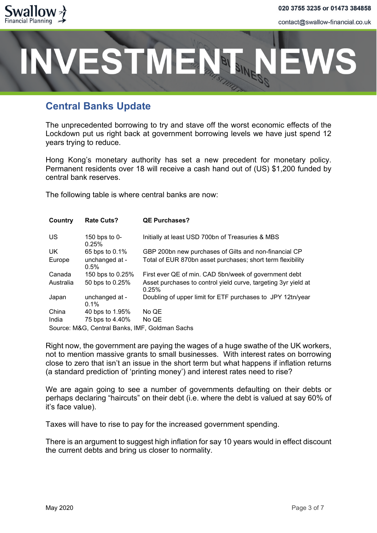



### **Central Banks Update**

The unprecedented borrowing to try and stave off the worst economic effects of the Lockdown put us right back at government borrowing levels we have just spend 12 years trying to reduce.

Hong Kong's monetary authority has set a new precedent for monetary policy. Permanent residents over 18 will receive a cash hand out of (US) \$1,200 funded by central bank reserves.

The following table is where central banks are now:

| Country                                        | <b>Rate Cuts?</b>         | <b>QE Purchases?</b>                                                    |  |  |
|------------------------------------------------|---------------------------|-------------------------------------------------------------------------|--|--|
| US.                                            | 150 bps to 0-<br>0.25%    | Initially at least USD 700bn of Treasuries & MBS                        |  |  |
| UK.                                            | 65 bps to 0.1%            | GBP 200bn new purchases of Gilts and non-financial CP                   |  |  |
| Europe                                         | unchanged at -<br>$0.5\%$ | Total of EUR 870bn asset purchases; short term flexibility              |  |  |
| Canada                                         | 150 bps to 0.25%          | First ever QE of min. CAD 5bn/week of government debt                   |  |  |
| Australia                                      | 50 bps to 0.25%           | Asset purchases to control yield curve, targeting 3yr yield at<br>0.25% |  |  |
| Japan                                          | unchanged at -<br>$0.1\%$ | Doubling of upper limit for ETF purchases to JPY 12tn/year              |  |  |
| China                                          | 40 bps to 1.95%           | No QE                                                                   |  |  |
| India                                          | 75 bps to 4.40%           | No QE                                                                   |  |  |
| Source: M&G, Central Banks, IMF, Goldman Sachs |                           |                                                                         |  |  |

Right now, the government are paying the wages of a huge swathe of the UK workers, not to mention massive grants to small businesses. With interest rates on borrowing close to zero that isn't an issue in the short term but what happens if inflation returns (a standard prediction of 'printing money') and interest rates need to rise?

We are again going to see a number of governments defaulting on their debts or perhaps declaring "haircuts" on their debt (i.e. where the debt is valued at say 60% of it's face value).

Taxes will have to rise to pay for the increased government spending.

There is an argument to suggest high inflation for say 10 years would in effect discount the current debts and bring us closer to normality.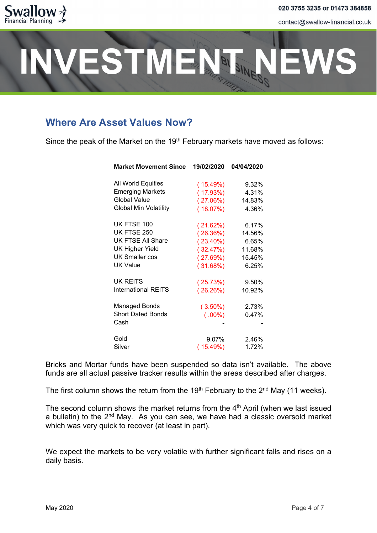

# ESTMENT.

# **Where Are Asset Values Now?**

Since the peak of the Market on the 19<sup>th</sup> February markets have moved as follows:

| <b>Market Movement Since</b> | 19/02/2020  | 04/04/2020 |
|------------------------------|-------------|------------|
| All World Equities           | (15.49%)    | 9.32%      |
| <b>Emerging Markets</b>      | (17.93%)    | 4.31%      |
| Global Value                 | (27.06%)    | 14.83%     |
| <b>Global Min Volatility</b> | $(18.07\%)$ | 4.36%      |
| UK FTSE 100                  | (21.62%)    | 6.17%      |
| <b>UK FTSE 250</b>           | (26.36%)    | 14.56%     |
| UK FTSE All Share            | $(23.40\%)$ | 6.65%      |
| <b>UK Higher Yield</b>       | (32.47%)    | 11.68%     |
| <b>UK Smaller cos</b>        | (27.69%)    | 15.45%     |
| <b>UK Value</b>              | (31.68%)    | 6.25%      |
| UK REITS                     | (25.73%)    | 9.50%      |
| <b>International REITS</b>   | $(26.26\%)$ | 10.92%     |
| <b>Managed Bonds</b>         | $(3.50\%)$  | 2.73%      |
| <b>Short Dated Bonds</b>     | $(.00\%)$   | 0.47%      |
| Cash                         |             |            |
| Gold                         | 9.07%       | 2.46%      |
| Silver                       | (15.49%)    | 1.72%      |

Bricks and Mortar funds have been suspended so data isn't available. The above funds are all actual passive tracker results within the areas described after charges.

The first column shows the return from the 19<sup>th</sup> February to the  $2<sup>nd</sup>$  May (11 weeks).

The second column shows the market returns from the  $4<sup>th</sup>$  April (when we last issued a bulletin) to the  $2<sup>nd</sup>$  May. As you can see, we have had a classic oversold market which was very quick to recover (at least in part).

We expect the markets to be very volatile with further significant falls and rises on a daily basis.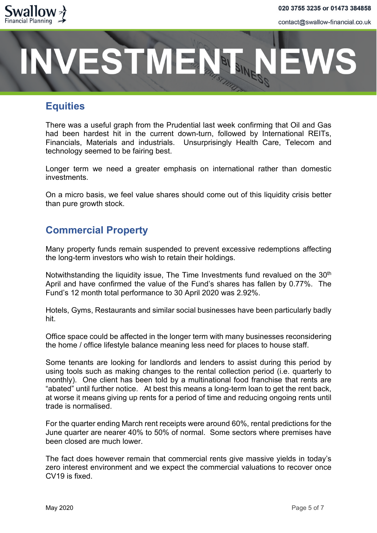



### **Equities**

There was a useful graph from the Prudential last week confirming that Oil and Gas had been hardest hit in the current down-turn, followed by International REITs, Financials, Materials and industrials. Unsurprisingly Health Care, Telecom and technology seemed to be fairing best.

Longer term we need a greater emphasis on international rather than domestic investments.

On a micro basis, we feel value shares should come out of this liquidity crisis better than pure growth stock.

## **Commercial Property**

Many property funds remain suspended to prevent excessive redemptions affecting the long-term investors who wish to retain their holdings.

Notwithstanding the liquidity issue, The Time Investments fund revalued on the 30<sup>th</sup> April and have confirmed the value of the Fund's shares has fallen by 0.77%. The Fund's 12 month total performance to 30 April 2020 was 2.92%.

Hotels, Gyms, Restaurants and similar social businesses have been particularly badly hit.

Office space could be affected in the longer term with many businesses reconsidering the home / office lifestyle balance meaning less need for places to house staff.

Some tenants are looking for landlords and lenders to assist during this period by using tools such as making changes to the rental collection period (i.e. quarterly to monthly). One client has been told by a multinational food franchise that rents are "abated" until further notice. At best this means a long-term loan to get the rent back, at worse it means giving up rents for a period of time and reducing ongoing rents until trade is normalised.

For the quarter ending March rent receipts were around 60%, rental predictions for the June quarter are nearer 40% to 50% of normal. Some sectors where premises have been closed are much lower.

The fact does however remain that commercial rents give massive yields in today's zero interest environment and we expect the commercial valuations to recover once CV19 is fixed.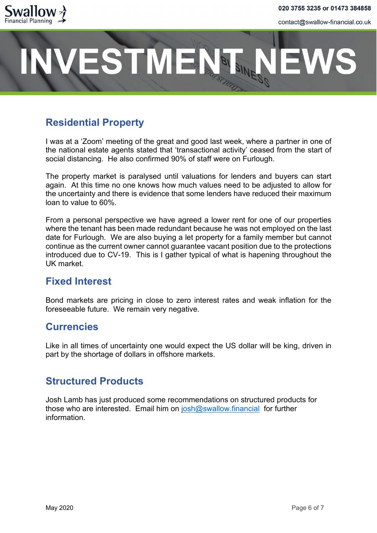

# **ESTMENT**

# **Residential Property**

I was at a 'Zoom' meeting of the great and good last week, where a partner in one of the national estate agents stated that 'transactional activity' ceased from the start of social distancing. He also confirmed 90% of staff were on Furlough.

The property market is paralysed until valuations for lenders and buyers can start again. At this time no one knows how much values need to be adjusted to allow for the uncertainty and there is evidence that some lenders have reduced their maximum loan to value to 60%.

From a personal perspective we have agreed a lower rent for one of our properties where the tenant has been made redundant because he was not employed on the last date for Furlough. We are also buying a let property for a family member but cannot continue as the current owner cannot guarantee vacant position due to the protections introduced due to CV-19. This is I gather typical of what is hapening throughout the UK market.

### **Fixed Interest**

Bond markets are pricing in close to zero interest rates and weak inflation for the foreseeable future. We remain very negative.

### **Currencies**

Like in all times of uncertainty one would expect the US dollar will be king, driven in part by the shortage of dollars in offshore markets.

### **Structured Products**

Josh Lamb has just produced some recommendations on structured products for those who are interested. Email him on [josh@swallow.financial](mailto:josh@swallow.financial) for further information.